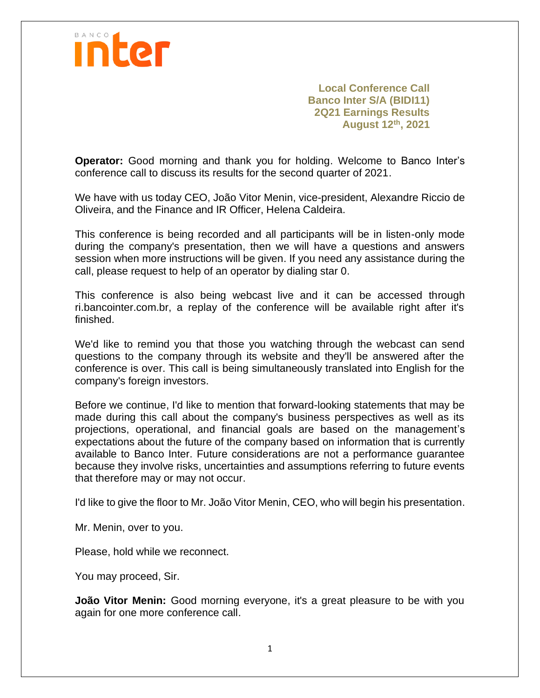

**Local Conference Call Banco Inter S/A (BIDI11) 2Q21 Earnings Results August 12th, 2021**

**Operator:** Good morning and thank you for holding. Welcome to Banco Inter's conference call to discuss its results for the second quarter of 2021.

We have with us today CEO, João Vitor Menin, vice-president, Alexandre Riccio de Oliveira, and the Finance and IR Officer, Helena Caldeira.

This conference is being recorded and all participants will be in listen-only mode during the company's presentation, then we will have a questions and answers session when more instructions will be given. If you need any assistance during the call, please request to help of an operator by dialing star 0.

This conference is also being webcast live and it can be accessed through ri.bancointer.com.br, a replay of the conference will be available right after it's finished.

We'd like to remind you that those you watching through the webcast can send questions to the company through its website and they'll be answered after the conference is over. This call is being simultaneously translated into English for the company's foreign investors.

Before we continue, I'd like to mention that forward-looking statements that may be made during this call about the company's business perspectives as well as its projections, operational, and financial goals are based on the management's expectations about the future of the company based on information that is currently available to Banco Inter. Future considerations are not a performance guarantee because they involve risks, uncertainties and assumptions referring to future events that therefore may or may not occur.

I'd like to give the floor to Mr. João Vitor Menin, CEO, who will begin his presentation.

Mr. Menin, over to you.

Please, hold while we reconnect.

You may proceed, Sir.

**João Vitor Menin:** Good morning everyone, it's a great pleasure to be with you again for one more conference call.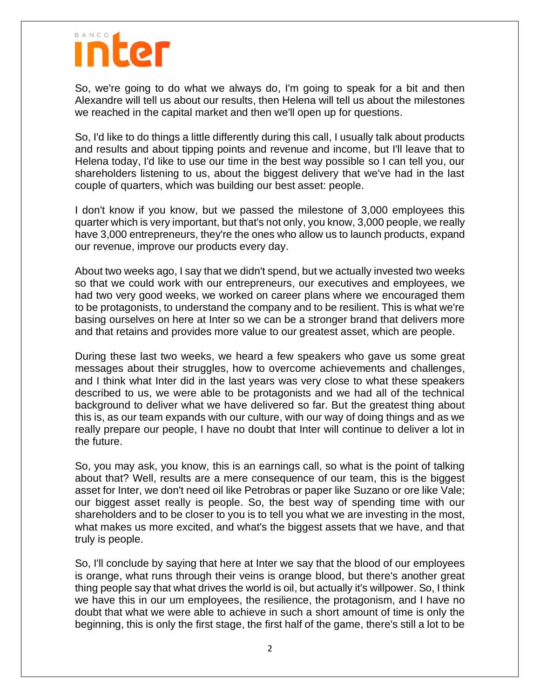#### nter

So, we're going to do what we always do, I'm going to speak for a bit and then Alexandre will tell us about our results, then Helena will tell us about the milestones we reached in the capital market and then we'll open up for questions.

So, I'd like to do things a little differently during this call, I usually talk about products and results and about tipping points and revenue and income, but I'll leave that to Helena today, I'd like to use our time in the best way possible so I can tell you, our shareholders listening to us, about the biggest delivery that we've had in the last couple of quarters, which was building our best asset: people.

I don't know if you know, but we passed the milestone of 3,000 employees this quarter which is very important, but that's not only, you know, 3,000 people, we really have 3,000 entrepreneurs, they're the ones who allow us to launch products, expand our revenue, improve our products every day.

About two weeks ago, I say that we didn't spend, but we actually invested two weeks so that we could work with our entrepreneurs, our executives and employees, we had two very good weeks, we worked on career plans where we encouraged them to be protagonists, to understand the company and to be resilient. This is what we're basing ourselves on here at Inter so we can be a stronger brand that delivers more and that retains and provides more value to our greatest asset, which are people.

During these last two weeks, we heard a few speakers who gave us some great messages about their struggles, how to overcome achievements and challenges, and I think what Inter did in the last years was very close to what these speakers described to us, we were able to be protagonists and we had all of the technical background to deliver what we have delivered so far. But the greatest thing about this is, as our team expands with our culture, with our way of doing things and as we really prepare our people, I have no doubt that Inter will continue to deliver a lot in the future.

So, you may ask, you know, this is an earnings call, so what is the point of talking about that? Well, results are a mere consequence of our team, this is the biggest asset for Inter, we don't need oil like Petrobras or paper like Suzano or ore like Vale; our biggest asset really is people. So, the best way of spending time with our shareholders and to be closer to you is to tell you what we are investing in the most, what makes us more excited, and what's the biggest assets that we have, and that truly is people.

So, I'll conclude by saying that here at Inter we say that the blood of our employees is orange, what runs through their veins is orange blood, but there's another great thing people say that what drives the world is oil, but actually it's willpower. So, I think we have this in our um employees, the resilience, the protagonism, and I have no doubt that what we were able to achieve in such a short amount of time is only the beginning, this is only the first stage, the first half of the game, there's still a lot to be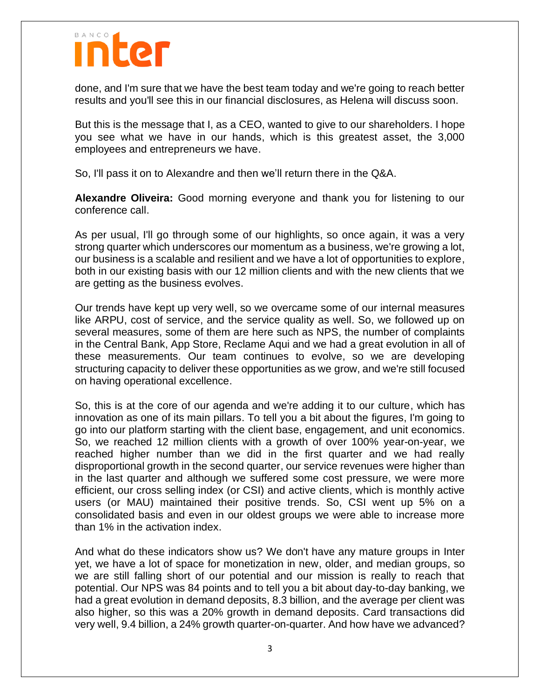## nter

done, and I'm sure that we have the best team today and we're going to reach better results and you'll see this in our financial disclosures, as Helena will discuss soon.

But this is the message that I, as a CEO, wanted to give to our shareholders. I hope you see what we have in our hands, which is this greatest asset, the 3,000 employees and entrepreneurs we have.

So, I'll pass it on to Alexandre and then we'll return there in the Q&A.

**Alexandre Oliveira:** Good morning everyone and thank you for listening to our conference call.

As per usual, I'll go through some of our highlights, so once again, it was a very strong quarter which underscores our momentum as a business, we're growing a lot, our business is a scalable and resilient and we have a lot of opportunities to explore, both in our existing basis with our 12 million clients and with the new clients that we are getting as the business evolves.

Our trends have kept up very well, so we overcame some of our internal measures like ARPU, cost of service, and the service quality as well. So, we followed up on several measures, some of them are here such as NPS, the number of complaints in the Central Bank, App Store, Reclame Aqui and we had a great evolution in all of these measurements. Our team continues to evolve, so we are developing structuring capacity to deliver these opportunities as we grow, and we're still focused on having operational excellence.

So, this is at the core of our agenda and we're adding it to our culture, which has innovation as one of its main pillars. To tell you a bit about the figures, I'm going to go into our platform starting with the client base, engagement, and unit economics. So, we reached 12 million clients with a growth of over 100% year-on-year, we reached higher number than we did in the first quarter and we had really disproportional growth in the second quarter, our service revenues were higher than in the last quarter and although we suffered some cost pressure, we were more efficient, our cross selling index (or CSI) and active clients, which is monthly active users (or MAU) maintained their positive trends. So, CSI went up 5% on a consolidated basis and even in our oldest groups we were able to increase more than 1% in the activation index.

And what do these indicators show us? We don't have any mature groups in Inter yet, we have a lot of space for monetization in new, older, and median groups, so we are still falling short of our potential and our mission is really to reach that potential. Our NPS was 84 points and to tell you a bit about day-to-day banking, we had a great evolution in demand deposits, 8.3 billion, and the average per client was also higher, so this was a 20% growth in demand deposits. Card transactions did very well, 9.4 billion, a 24% growth quarter-on-quarter. And how have we advanced?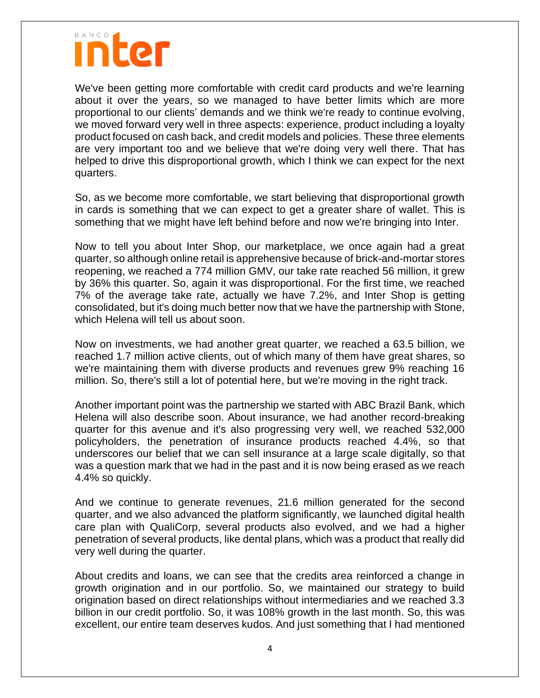We've been getting more comfortable with credit card products and we're learning about it over the years, so we managed to have better limits which are more proportional to our clients' demands and we think we're ready to continue evolving, we moved forward very well in three aspects: experience, product including a loyalty product focused on cash back, and credit models and policies. These three elements are very important too and we believe that we're doing very well there. That has helped to drive this disproportional growth, which I think we can expect for the next quarters.

So, as we become more comfortable, we start believing that disproportional growth in cards is something that we can expect to get a greater share of wallet. This is something that we might have left behind before and now we're bringing into Inter.

Now to tell you about Inter Shop, our marketplace, we once again had a great quarter, so although online retail is apprehensive because of brick-and-mortar stores reopening, we reached a 774 million GMV, our take rate reached 56 million, it grew by 36% this quarter. So, again it was disproportional. For the first time, we reached 7% of the average take rate, actually we have 7.2%, and Inter Shop is getting consolidated, but it's doing much better now that we have the partnership with Stone, which Helena will tell us about soon.

Now on investments, we had another great quarter, we reached a 63.5 billion, we reached 1.7 million active clients, out of which many of them have great shares, so we're maintaining them with diverse products and revenues grew 9% reaching 16 million. So, there's still a lot of potential here, but we're moving in the right track.

Another important point was the partnership we started with ABC Brazil Bank, which Helena will also describe soon. About insurance, we had another record-breaking quarter for this avenue and it's also progressing very well, we reached 532,000 policyholders, the penetration of insurance products reached 4.4%, so that underscores our belief that we can sell insurance at a large scale digitally, so that was a question mark that we had in the past and it is now being erased as we reach 4.4% so quickly.

And we continue to generate revenues, 21.6 million generated for the second quarter, and we also advanced the platform significantly, we launched digital health care plan with QualiCorp, several products also evolved, and we had a higher penetration of several products, like dental plans, which was a product that really did very well during the quarter.

About credits and loans, we can see that the credits area reinforced a change in growth origination and in our portfolio. So, we maintained our strategy to build origination based on direct relationships without intermediaries and we reached 3.3 billion in our credit portfolio. So, it was 108% growth in the last month. So, this was excellent, our entire team deserves kudos. And just something that I had mentioned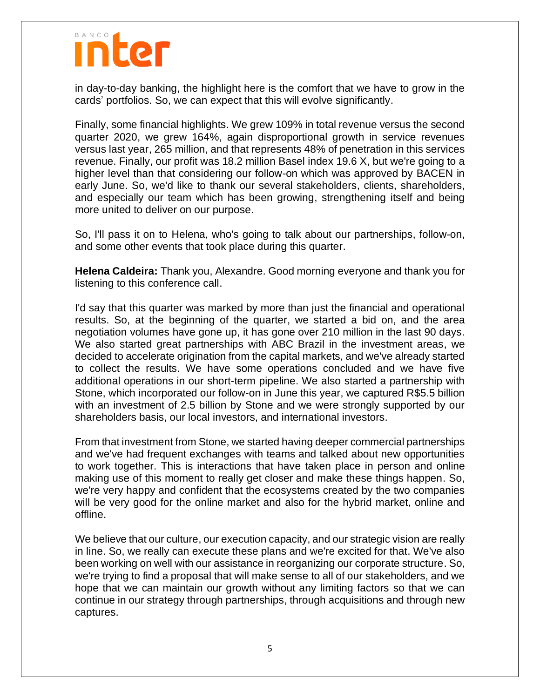

in day-to-day banking, the highlight here is the comfort that we have to grow in the cards' portfolios. So, we can expect that this will evolve significantly.

Finally, some financial highlights. We grew 109% in total revenue versus the second quarter 2020, we grew 164%, again disproportional growth in service revenues versus last year, 265 million, and that represents 48% of penetration in this services revenue. Finally, our profit was 18.2 million Basel index 19.6 X, but we're going to a higher level than that considering our follow-on which was approved by BACEN in early June. So, we'd like to thank our several stakeholders, clients, shareholders, and especially our team which has been growing, strengthening itself and being more united to deliver on our purpose.

So, I'll pass it on to Helena, who's going to talk about our partnerships, follow-on, and some other events that took place during this quarter.

**Helena Caldeira:** Thank you, Alexandre. Good morning everyone and thank you for listening to this conference call.

I'd say that this quarter was marked by more than just the financial and operational results. So, at the beginning of the quarter, we started a bid on, and the area negotiation volumes have gone up, it has gone over 210 million in the last 90 days. We also started great partnerships with ABC Brazil in the investment areas, we decided to accelerate origination from the capital markets, and we've already started to collect the results. We have some operations concluded and we have five additional operations in our short-term pipeline. We also started a partnership with Stone, which incorporated our follow-on in June this year, we captured R\$5.5 billion with an investment of 2.5 billion by Stone and we were strongly supported by our shareholders basis, our local investors, and international investors.

From that investment from Stone, we started having deeper commercial partnerships and we've had frequent exchanges with teams and talked about new opportunities to work together. This is interactions that have taken place in person and online making use of this moment to really get closer and make these things happen. So, we're very happy and confident that the ecosystems created by the two companies will be very good for the online market and also for the hybrid market, online and offline.

We believe that our culture, our execution capacity, and our strategic vision are really in line. So, we really can execute these plans and we're excited for that. We've also been working on well with our assistance in reorganizing our corporate structure. So, we're trying to find a proposal that will make sense to all of our stakeholders, and we hope that we can maintain our growth without any limiting factors so that we can continue in our strategy through partnerships, through acquisitions and through new captures.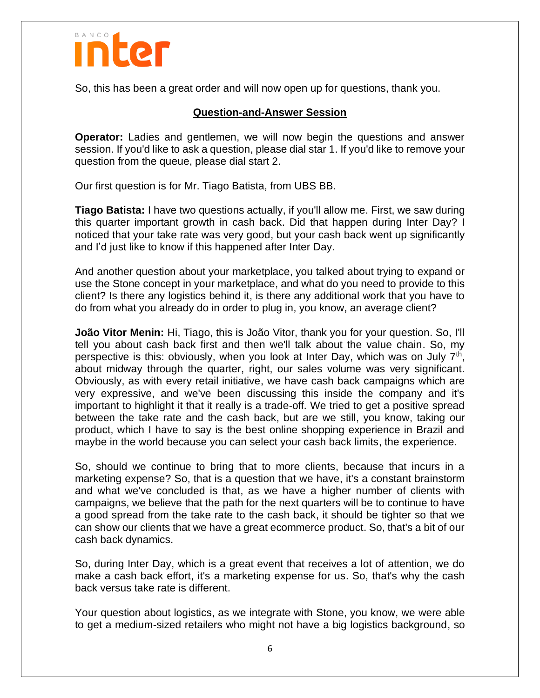

So, this has been a great order and will now open up for questions, thank you.

#### **Question-and-Answer Session**

**Operator:** Ladies and gentlemen, we will now begin the questions and answer session. If you'd like to ask a question, please dial star 1. If you'd like to remove your question from the queue, please dial start 2.

Our first question is for Mr. Tiago Batista, from UBS BB.

**Tiago Batista:** I have two questions actually, if you'll allow me. First, we saw during this quarter important growth in cash back. Did that happen during Inter Day? I noticed that your take rate was very good, but your cash back went up significantly and I'd just like to know if this happened after Inter Day.

And another question about your marketplace, you talked about trying to expand or use the Stone concept in your marketplace, and what do you need to provide to this client? Is there any logistics behind it, is there any additional work that you have to do from what you already do in order to plug in, you know, an average client?

**João Vitor Menin:** Hi, Tiago, this is João Vitor, thank you for your question. So, I'll tell you about cash back first and then we'll talk about the value chain. So, my perspective is this: obviously, when you look at Inter Day, which was on July 7<sup>th</sup>, about midway through the quarter, right, our sales volume was very significant. Obviously, as with every retail initiative, we have cash back campaigns which are very expressive, and we've been discussing this inside the company and it's important to highlight it that it really is a trade-off. We tried to get a positive spread between the take rate and the cash back, but are we still, you know, taking our product, which I have to say is the best online shopping experience in Brazil and maybe in the world because you can select your cash back limits, the experience.

So, should we continue to bring that to more clients, because that incurs in a marketing expense? So, that is a question that we have, it's a constant brainstorm and what we've concluded is that, as we have a higher number of clients with campaigns, we believe that the path for the next quarters will be to continue to have a good spread from the take rate to the cash back, it should be tighter so that we can show our clients that we have a great ecommerce product. So, that's a bit of our cash back dynamics.

So, during Inter Day, which is a great event that receives a lot of attention, we do make a cash back effort, it's a marketing expense for us. So, that's why the cash back versus take rate is different.

Your question about logistics, as we integrate with Stone, you know, we were able to get a medium-sized retailers who might not have a big logistics background, so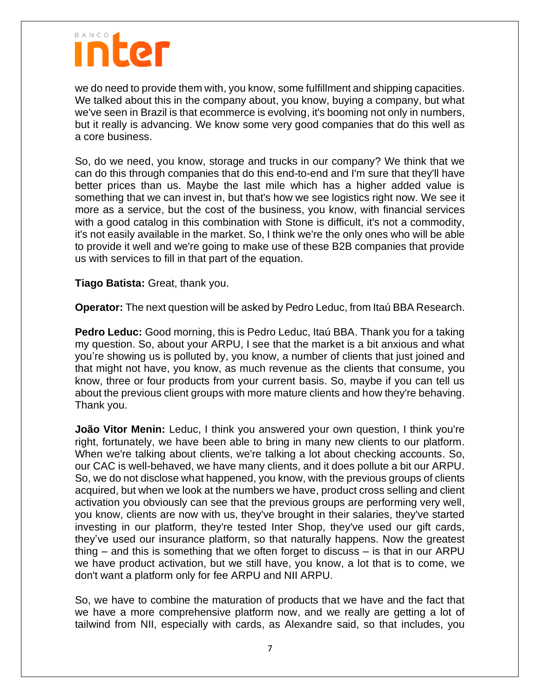we do need to provide them with, you know, some fulfillment and shipping capacities. We talked about this in the company about, you know, buying a company, but what we've seen in Brazil is that ecommerce is evolving, it's booming not only in numbers, but it really is advancing. We know some very good companies that do this well as a core business.

So, do we need, you know, storage and trucks in our company? We think that we can do this through companies that do this end-to-end and I'm sure that they'll have better prices than us. Maybe the last mile which has a higher added value is something that we can invest in, but that's how we see logistics right now. We see it more as a service, but the cost of the business, you know, with financial services with a good catalog in this combination with Stone is difficult, it's not a commodity, it's not easily available in the market. So, I think we're the only ones who will be able to provide it well and we're going to make use of these B2B companies that provide us with services to fill in that part of the equation.

**Tiago Batista:** Great, thank you.

**Operator:** The next question will be asked by Pedro Leduc, from Itaú BBA Research.

**Pedro Leduc:** Good morning, this is Pedro Leduc, Itaú BBA. Thank you for a taking my question. So, about your ARPU, I see that the market is a bit anxious and what you're showing us is polluted by, you know, a number of clients that just joined and that might not have, you know, as much revenue as the clients that consume, you know, three or four products from your current basis. So, maybe if you can tell us about the previous client groups with more mature clients and how they're behaving. Thank you.

**João Vitor Menin:** Leduc, I think you answered your own question, I think you're right, fortunately, we have been able to bring in many new clients to our platform. When we're talking about clients, we're talking a lot about checking accounts. So, our CAC is well-behaved, we have many clients, and it does pollute a bit our ARPU. So, we do not disclose what happened, you know, with the previous groups of clients acquired, but when we look at the numbers we have, product cross selling and client activation you obviously can see that the previous groups are performing very well, you know, clients are now with us, they've brought in their salaries, they've started investing in our platform, they're tested Inter Shop, they've used our gift cards, they've used our insurance platform, so that naturally happens. Now the greatest thing – and this is something that we often forget to discuss – is that in our ARPU we have product activation, but we still have, you know, a lot that is to come, we don't want a platform only for fee ARPU and NII ARPU.

So, we have to combine the maturation of products that we have and the fact that we have a more comprehensive platform now, and we really are getting a lot of tailwind from NII, especially with cards, as Alexandre said, so that includes, you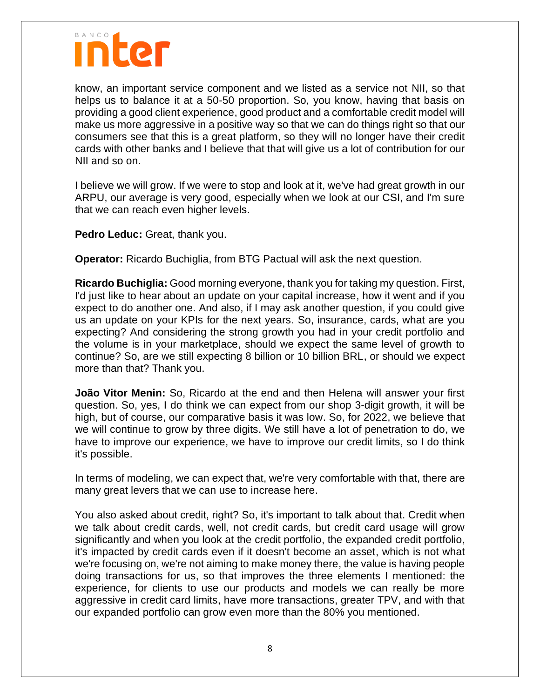

know, an important service component and we listed as a service not NII, so that helps us to balance it at a 50-50 proportion. So, you know, having that basis on providing a good client experience, good product and a comfortable credit model will make us more aggressive in a positive way so that we can do things right so that our consumers see that this is a great platform, so they will no longer have their credit cards with other banks and I believe that that will give us a lot of contribution for our NII and so on.

I believe we will grow. If we were to stop and look at it, we've had great growth in our ARPU, our average is very good, especially when we look at our CSI, and I'm sure that we can reach even higher levels.

**Pedro Leduc:** Great, thank you.

**Operator:** Ricardo Buchiglia, from BTG Pactual will ask the next question.

**Ricardo Buchiglia:** Good morning everyone, thank you for taking my question. First, I'd just like to hear about an update on your capital increase, how it went and if you expect to do another one. And also, if I may ask another question, if you could give us an update on your KPIs for the next years. So, insurance, cards, what are you expecting? And considering the strong growth you had in your credit portfolio and the volume is in your marketplace, should we expect the same level of growth to continue? So, are we still expecting 8 billion or 10 billion BRL, or should we expect more than that? Thank you.

**João Vitor Menin:** So, Ricardo at the end and then Helena will answer your first question. So, yes, I do think we can expect from our shop 3-digit growth, it will be high, but of course, our comparative basis it was low. So, for 2022, we believe that we will continue to grow by three digits. We still have a lot of penetration to do, we have to improve our experience, we have to improve our credit limits, so I do think it's possible.

In terms of modeling, we can expect that, we're very comfortable with that, there are many great levers that we can use to increase here.

You also asked about credit, right? So, it's important to talk about that. Credit when we talk about credit cards, well, not credit cards, but credit card usage will grow significantly and when you look at the credit portfolio, the expanded credit portfolio, it's impacted by credit cards even if it doesn't become an asset, which is not what we're focusing on, we're not aiming to make money there, the value is having people doing transactions for us, so that improves the three elements I mentioned: the experience, for clients to use our products and models we can really be more aggressive in credit card limits, have more transactions, greater TPV, and with that our expanded portfolio can grow even more than the 80% you mentioned.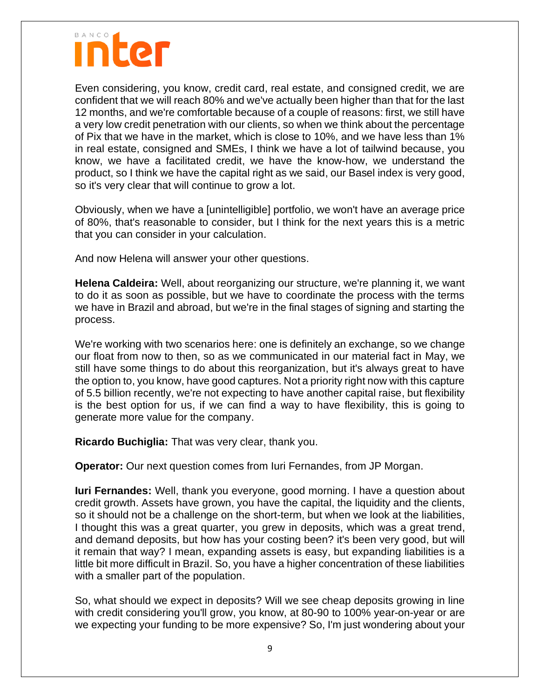

Even considering, you know, credit card, real estate, and consigned credit, we are confident that we will reach 80% and we've actually been higher than that for the last 12 months, and we're comfortable because of a couple of reasons: first, we still have a very low credit penetration with our clients, so when we think about the percentage of Pix that we have in the market, which is close to 10%, and we have less than 1% in real estate, consigned and SMEs, I think we have a lot of tailwind because, you know, we have a facilitated credit, we have the know-how, we understand the product, so I think we have the capital right as we said, our Basel index is very good, so it's very clear that will continue to grow a lot.

Obviously, when we have a [unintelligible] portfolio, we won't have an average price of 80%, that's reasonable to consider, but I think for the next years this is a metric that you can consider in your calculation.

And now Helena will answer your other questions.

**Helena Caldeira:** Well, about reorganizing our structure, we're planning it, we want to do it as soon as possible, but we have to coordinate the process with the terms we have in Brazil and abroad, but we're in the final stages of signing and starting the process.

We're working with two scenarios here: one is definitely an exchange, so we change our float from now to then, so as we communicated in our material fact in May, we still have some things to do about this reorganization, but it's always great to have the option to, you know, have good captures. Not a priority right now with this capture of 5.5 billion recently, we're not expecting to have another capital raise, but flexibility is the best option for us, if we can find a way to have flexibility, this is going to generate more value for the company.

**Ricardo Buchiglia:** That was very clear, thank you.

**Operator:** Our next question comes from Iuri Fernandes, from JP Morgan.

**Iuri Fernandes:** Well, thank you everyone, good morning. I have a question about credit growth. Assets have grown, you have the capital, the liquidity and the clients, so it should not be a challenge on the short-term, but when we look at the liabilities, I thought this was a great quarter, you grew in deposits, which was a great trend, and demand deposits, but how has your costing been? it's been very good, but will it remain that way? I mean, expanding assets is easy, but expanding liabilities is a little bit more difficult in Brazil. So, you have a higher concentration of these liabilities with a smaller part of the population.

So, what should we expect in deposits? Will we see cheap deposits growing in line with credit considering you'll grow, you know, at 80-90 to 100% year-on-year or are we expecting your funding to be more expensive? So, I'm just wondering about your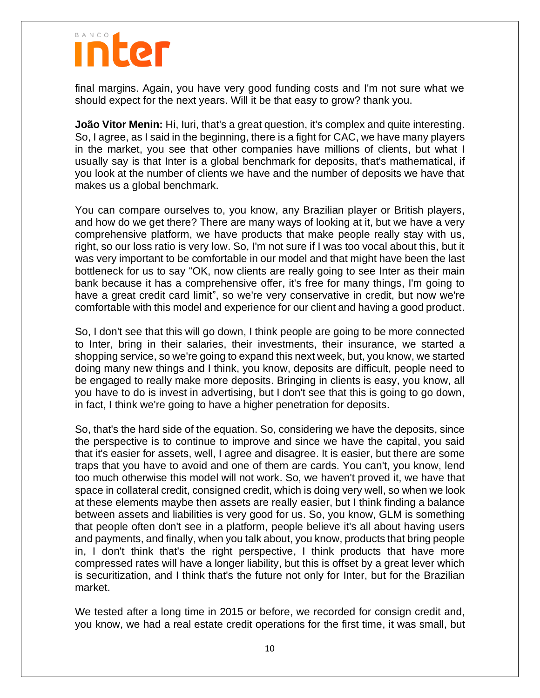final margins. Again, you have very good funding costs and I'm not sure what we should expect for the next years. Will it be that easy to grow? thank you.

**João Vitor Menin:** Hi, Iuri, that's a great question, it's complex and quite interesting. So, I agree, as I said in the beginning, there is a fight for CAC, we have many players in the market, you see that other companies have millions of clients, but what I usually say is that Inter is a global benchmark for deposits, that's mathematical, if you look at the number of clients we have and the number of deposits we have that makes us a global benchmark.

You can compare ourselves to, you know, any Brazilian player or British players, and how do we get there? There are many ways of looking at it, but we have a very comprehensive platform, we have products that make people really stay with us, right, so our loss ratio is very low. So, I'm not sure if I was too vocal about this, but it was very important to be comfortable in our model and that might have been the last bottleneck for us to say "OK, now clients are really going to see Inter as their main bank because it has a comprehensive offer, it's free for many things, I'm going to have a great credit card limit", so we're very conservative in credit, but now we're comfortable with this model and experience for our client and having a good product.

So, I don't see that this will go down, I think people are going to be more connected to Inter, bring in their salaries, their investments, their insurance, we started a shopping service, so we're going to expand this next week, but, you know, we started doing many new things and I think, you know, deposits are difficult, people need to be engaged to really make more deposits. Bringing in clients is easy, you know, all you have to do is invest in advertising, but I don't see that this is going to go down, in fact, I think we're going to have a higher penetration for deposits.

So, that's the hard side of the equation. So, considering we have the deposits, since the perspective is to continue to improve and since we have the capital, you said that it's easier for assets, well, I agree and disagree. It is easier, but there are some traps that you have to avoid and one of them are cards. You can't, you know, lend too much otherwise this model will not work. So, we haven't proved it, we have that space in collateral credit, consigned credit, which is doing very well, so when we look at these elements maybe then assets are really easier, but I think finding a balance between assets and liabilities is very good for us. So, you know, GLM is something that people often don't see in a platform, people believe it's all about having users and payments, and finally, when you talk about, you know, products that bring people in, I don't think that's the right perspective, I think products that have more compressed rates will have a longer liability, but this is offset by a great lever which is securitization, and I think that's the future not only for Inter, but for the Brazilian market.

We tested after a long time in 2015 or before, we recorded for consign credit and, you know, we had a real estate credit operations for the first time, it was small, but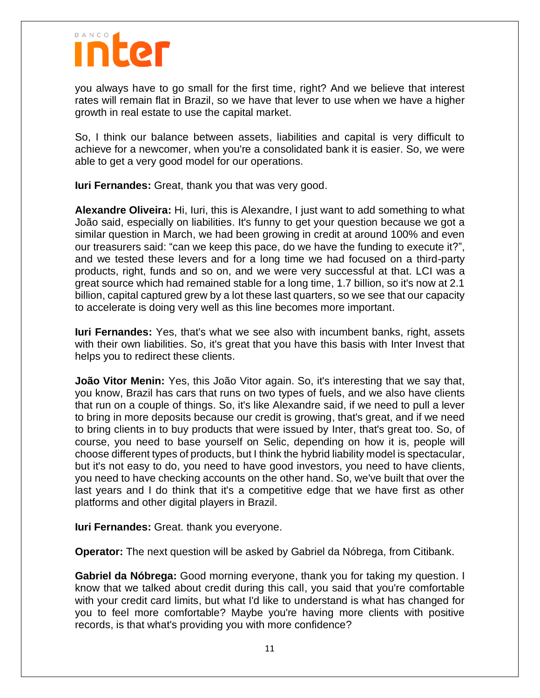

you always have to go small for the first time, right? And we believe that interest rates will remain flat in Brazil, so we have that lever to use when we have a higher growth in real estate to use the capital market.

So, I think our balance between assets, liabilities and capital is very difficult to achieve for a newcomer, when you're a consolidated bank it is easier. So, we were able to get a very good model for our operations.

**Iuri Fernandes:** Great, thank you that was very good.

**Alexandre Oliveira:** Hi, Iuri, this is Alexandre, I just want to add something to what João said, especially on liabilities. It's funny to get your question because we got a similar question in March, we had been growing in credit at around 100% and even our treasurers said: "can we keep this pace, do we have the funding to execute it?", and we tested these levers and for a long time we had focused on a third-party products, right, funds and so on, and we were very successful at that. LCI was a great source which had remained stable for a long time, 1.7 billion, so it's now at 2.1 billion, capital captured grew by a lot these last quarters, so we see that our capacity to accelerate is doing very well as this line becomes more important.

**Iuri Fernandes:** Yes, that's what we see also with incumbent banks, right, assets with their own liabilities. So, it's great that you have this basis with Inter Invest that helps you to redirect these clients.

**João Vitor Menin:** Yes, this João Vitor again. So, it's interesting that we say that, you know, Brazil has cars that runs on two types of fuels, and we also have clients that run on a couple of things. So, it's like Alexandre said, if we need to pull a lever to bring in more deposits because our credit is growing, that's great, and if we need to bring clients in to buy products that were issued by Inter, that's great too. So, of course, you need to base yourself on Selic, depending on how it is, people will choose different types of products, but I think the hybrid liability model is spectacular, but it's not easy to do, you need to have good investors, you need to have clients, you need to have checking accounts on the other hand. So, we've built that over the last years and I do think that it's a competitive edge that we have first as other platforms and other digital players in Brazil.

**Iuri Fernandes:** Great. thank you everyone.

**Operator:** The next question will be asked by Gabriel da Nóbrega, from Citibank.

**Gabriel da Nóbrega:** Good morning everyone, thank you for taking my question. I know that we talked about credit during this call, you said that you're comfortable with your credit card limits, but what I'd like to understand is what has changed for you to feel more comfortable? Maybe you're having more clients with positive records, is that what's providing you with more confidence?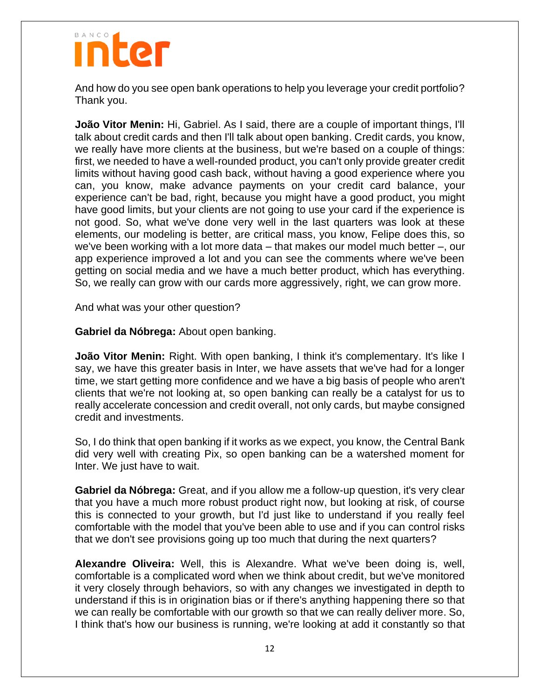And how do you see open bank operations to help you leverage your credit portfolio? Thank you.

**João Vitor Menin:** Hi, Gabriel. As I said, there are a couple of important things, I'll talk about credit cards and then I'll talk about open banking. Credit cards, you know, we really have more clients at the business, but we're based on a couple of things: first, we needed to have a well-rounded product, you can't only provide greater credit limits without having good cash back, without having a good experience where you can, you know, make advance payments on your credit card balance, your experience can't be bad, right, because you might have a good product, you might have good limits, but your clients are not going to use your card if the experience is not good. So, what we've done very well in the last quarters was look at these elements, our modeling is better, are critical mass, you know, Felipe does this, so we've been working with a lot more data – that makes our model much better –, our app experience improved a lot and you can see the comments where we've been getting on social media and we have a much better product, which has everything. So, we really can grow with our cards more aggressively, right, we can grow more.

And what was your other question?

**Gabriel da Nóbrega:** About open banking.

**João Vitor Menin:** Right. With open banking, I think it's complementary. It's like I say, we have this greater basis in Inter, we have assets that we've had for a longer time, we start getting more confidence and we have a big basis of people who aren't clients that we're not looking at, so open banking can really be a catalyst for us to really accelerate concession and credit overall, not only cards, but maybe consigned credit and investments.

So, I do think that open banking if it works as we expect, you know, the Central Bank did very well with creating Pix, so open banking can be a watershed moment for Inter. We just have to wait.

**Gabriel da Nóbrega:** Great, and if you allow me a follow-up question, it's very clear that you have a much more robust product right now, but looking at risk, of course this is connected to your growth, but I'd just like to understand if you really feel comfortable with the model that you've been able to use and if you can control risks that we don't see provisions going up too much that during the next quarters?

**Alexandre Oliveira:** Well, this is Alexandre. What we've been doing is, well, comfortable is a complicated word when we think about credit, but we've monitored it very closely through behaviors, so with any changes we investigated in depth to understand if this is in origination bias or if there's anything happening there so that we can really be comfortable with our growth so that we can really deliver more. So, I think that's how our business is running, we're looking at add it constantly so that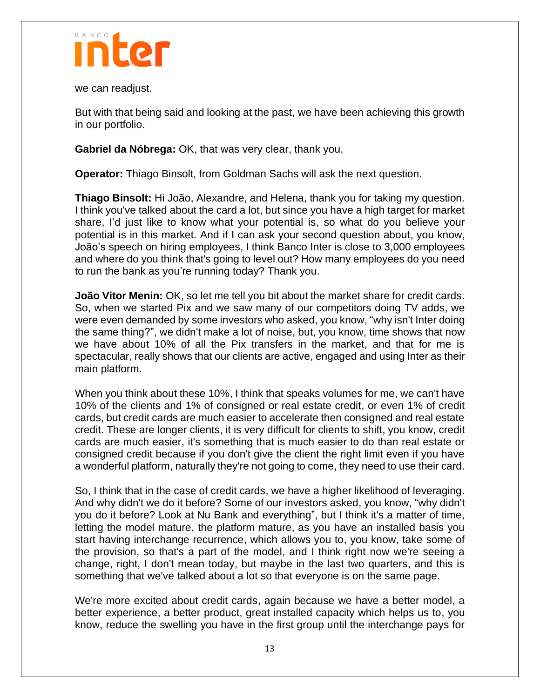

we can readjust.

But with that being said and looking at the past, we have been achieving this growth in our portfolio.

**Gabriel da Nóbrega:** OK, that was very clear, thank you.

**Operator:** Thiago Binsolt, from Goldman Sachs will ask the next question.

**Thiago Binsolt:** Hi João, Alexandre, and Helena, thank you for taking my question. I think you've talked about the card a lot, but since you have a high target for market share, I'd just like to know what your potential is, so what do you believe your potential is in this market. And if I can ask your second question about, you know, João's speech on hiring employees, I think Banco Inter is close to 3,000 employees and where do you think that's going to level out? How many employees do you need to run the bank as you're running today? Thank you.

**João Vitor Menin:** OK, so let me tell you bit about the market share for credit cards. So, when we started Pix and we saw many of our competitors doing TV adds, we were even demanded by some investors who asked, you know, "why isn't Inter doing the same thing?", we didn't make a lot of noise, but, you know, time shows that now we have about 10% of all the Pix transfers in the market, and that for me is spectacular, really shows that our clients are active, engaged and using Inter as their main platform.

When you think about these 10%, I think that speaks volumes for me, we can't have 10% of the clients and 1% of consigned or real estate credit, or even 1% of credit cards, but credit cards are much easier to accelerate then consigned and real estate credit. These are longer clients, it is very difficult for clients to shift, you know, credit cards are much easier, it's something that is much easier to do than real estate or consigned credit because if you don't give the client the right limit even if you have a wonderful platform, naturally they're not going to come, they need to use their card.

So, I think that in the case of credit cards, we have a higher likelihood of leveraging. And why didn't we do it before? Some of our investors asked, you know, "why didn't you do it before? Look at Nu Bank and everything", but I think it's a matter of time, letting the model mature, the platform mature, as you have an installed basis you start having interchange recurrence, which allows you to, you know, take some of the provision, so that's a part of the model, and I think right now we're seeing a change, right, I don't mean today, but maybe in the last two quarters, and this is something that we've talked about a lot so that everyone is on the same page.

We're more excited about credit cards, again because we have a better model, a better experience, a better product, great installed capacity which helps us to, you know, reduce the swelling you have in the first group until the interchange pays for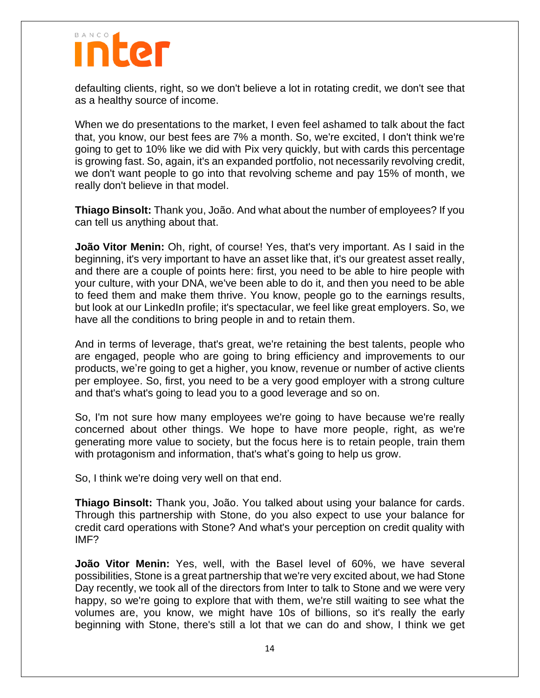defaulting clients, right, so we don't believe a lot in rotating credit, we don't see that as a healthy source of income.

When we do presentations to the market, I even feel ashamed to talk about the fact that, you know, our best fees are 7% a month. So, we're excited, I don't think we're going to get to 10% like we did with Pix very quickly, but with cards this percentage is growing fast. So, again, it's an expanded portfolio, not necessarily revolving credit, we don't want people to go into that revolving scheme and pay 15% of month, we really don't believe in that model.

**Thiago Binsolt:** Thank you, João. And what about the number of employees? If you can tell us anything about that.

**João Vitor Menin:** Oh, right, of course! Yes, that's very important. As I said in the beginning, it's very important to have an asset like that, it's our greatest asset really, and there are a couple of points here: first, you need to be able to hire people with your culture, with your DNA, we've been able to do it, and then you need to be able to feed them and make them thrive. You know, people go to the earnings results, but look at our LinkedIn profile; it's spectacular, we feel like great employers. So, we have all the conditions to bring people in and to retain them.

And in terms of leverage, that's great, we're retaining the best talents, people who are engaged, people who are going to bring efficiency and improvements to our products, we're going to get a higher, you know, revenue or number of active clients per employee. So, first, you need to be a very good employer with a strong culture and that's what's going to lead you to a good leverage and so on.

So, I'm not sure how many employees we're going to have because we're really concerned about other things. We hope to have more people, right, as we're generating more value to society, but the focus here is to retain people, train them with protagonism and information, that's what's going to help us grow.

So, I think we're doing very well on that end.

**Thiago Binsolt:** Thank you, João. You talked about using your balance for cards. Through this partnership with Stone, do you also expect to use your balance for credit card operations with Stone? And what's your perception on credit quality with IMF?

**João Vitor Menin:** Yes, well, with the Basel level of 60%, we have several possibilities, Stone is a great partnership that we're very excited about, we had Stone Day recently, we took all of the directors from Inter to talk to Stone and we were very happy, so we're going to explore that with them, we're still waiting to see what the volumes are, you know, we might have 10s of billions, so it's really the early beginning with Stone, there's still a lot that we can do and show, I think we get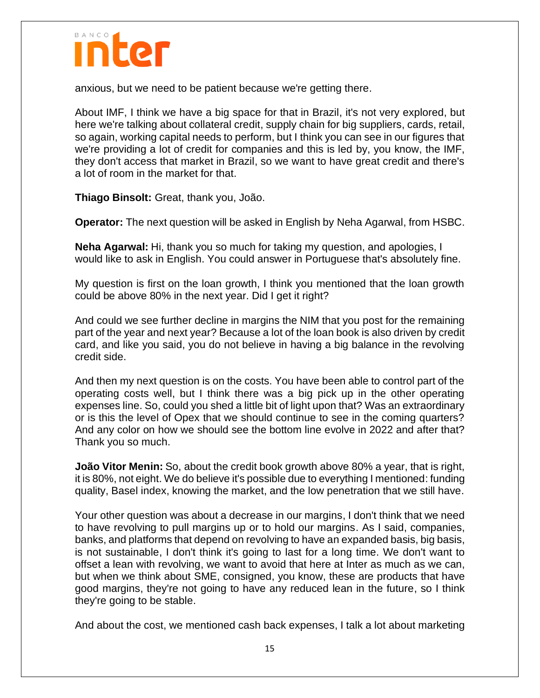

anxious, but we need to be patient because we're getting there.

About IMF, I think we have a big space for that in Brazil, it's not very explored, but here we're talking about collateral credit, supply chain for big suppliers, cards, retail, so again, working capital needs to perform, but I think you can see in our figures that we're providing a lot of credit for companies and this is led by, you know, the IMF, they don't access that market in Brazil, so we want to have great credit and there's a lot of room in the market for that.

**Thiago Binsolt:** Great, thank you, João.

**Operator:** The next question will be asked in English by Neha Agarwal, from HSBC.

**Neha Agarwal:** Hi, thank you so much for taking my question, and apologies, I would like to ask in English. You could answer in Portuguese that's absolutely fine.

My question is first on the loan growth, I think you mentioned that the loan growth could be above 80% in the next year. Did I get it right?

And could we see further decline in margins the NIM that you post for the remaining part of the year and next year? Because a lot of the loan book is also driven by credit card, and like you said, you do not believe in having a big balance in the revolving credit side.

And then my next question is on the costs. You have been able to control part of the operating costs well, but I think there was a big pick up in the other operating expenses line. So, could you shed a little bit of light upon that? Was an extraordinary or is this the level of Opex that we should continue to see in the coming quarters? And any color on how we should see the bottom line evolve in 2022 and after that? Thank you so much.

**João Vitor Menin:** So, about the credit book growth above 80% a year, that is right, it is 80%, not eight. We do believe it's possible due to everything I mentioned: funding quality, Basel index, knowing the market, and the low penetration that we still have.

Your other question was about a decrease in our margins, I don't think that we need to have revolving to pull margins up or to hold our margins. As I said, companies, banks, and platforms that depend on revolving to have an expanded basis, big basis, is not sustainable, I don't think it's going to last for a long time. We don't want to offset a lean with revolving, we want to avoid that here at Inter as much as we can, but when we think about SME, consigned, you know, these are products that have good margins, they're not going to have any reduced lean in the future, so I think they're going to be stable.

And about the cost, we mentioned cash back expenses, I talk a lot about marketing